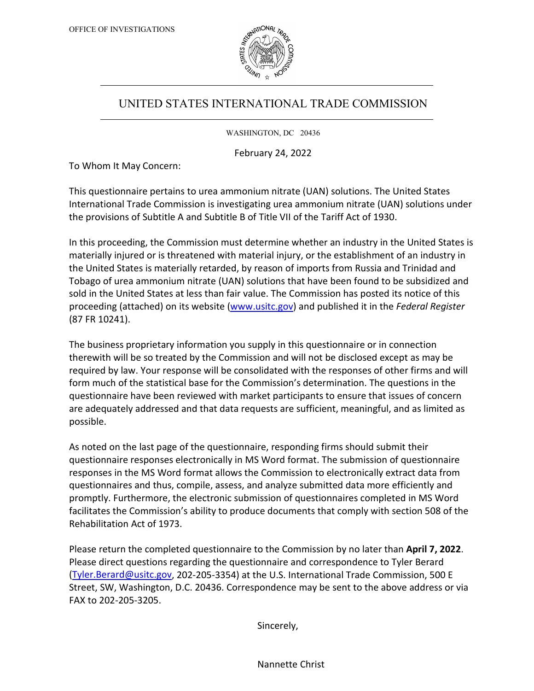

## UNITED STATES INTERNATIONAL TRADE COMMISSION

WASHINGTON, DC 20436

February 24, 2022

To Whom It May Concern:

This questionnaire pertains to urea ammonium nitrate (UAN) solutions. The United States International Trade Commission is investigating urea ammonium nitrate (UAN) solutions under the provisions of Subtitle A and Subtitle B of Title VII of the Tariff Act of 1930.

In this proceeding, the Commission must determine whether an industry in the United States is materially injured or is threatened with material injury, or the establishment of an industry in the United States is materially retarded, by reason of imports from Russia and Trinidad and Tobago of urea ammonium nitrate (UAN) solutions that have been found to be subsidized and sold in the United States at less than fair value. The Commission has posted its notice of this proceeding (attached) on its website [\(www.usitc.gov\)](http://www.usitc.gov/) and published it in the *Federal Register* (87 FR 10241).

The business proprietary information you supply in this questionnaire or in connection therewith will be so treated by the Commission and will not be disclosed except as may be required by law. Your response will be consolidated with the responses of other firms and will form much of the statistical base for the Commission's determination. The questions in the questionnaire have been reviewed with market participants to ensure that issues of concern are adequately addressed and that data requests are sufficient, meaningful, and as limited as possible.

As noted on the last page of the questionnaire, responding firms should submit their questionnaire responses electronically in MS Word format. The submission of questionnaire responses in the MS Word format allows the Commission to electronically extract data from questionnaires and thus, compile, assess, and analyze submitted data more efficiently and promptly. Furthermore, the electronic submission of questionnaires completed in MS Word facilitates the Commission's ability to produce documents that comply with section 508 of the Rehabilitation Act of 1973.

Please return the completed questionnaire to the Commission by no later than **April 7, 2022**. Please direct questions regarding the questionnaire and correspondence to Tyler Berard [\(Tyler.Berard@usitc.gov,](mailto:Tyler.Berard@usitc.gov) 202-205-3354) at the U.S. International Trade Commission, 500 E Street, SW, Washington, D.C. 20436. Correspondence may be sent to the above address or via FAX to 202-205-3205.

Sincerely,

Nannette Christ